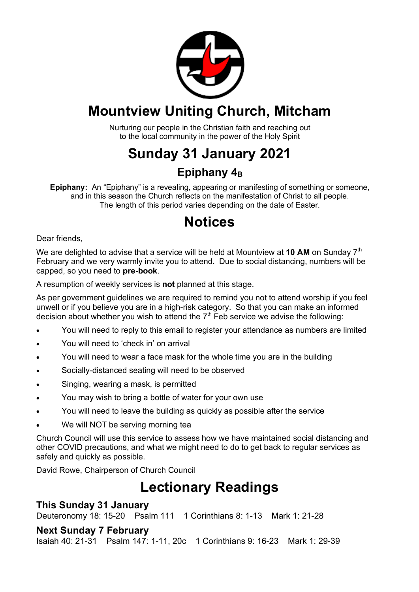

## **Mountview Uniting Church, Mitcham**

Nurturing our people in the Christian faith and reaching out to the local community in the power of the Holy Spirit

## **Sunday 31 January 2021**

## Epiphany 4<sub>B</sub>

**Epiphany:** An "Epiphany" is a revealing, appearing or manifesting of something or someone, and in this season the Church reflects on the manifestation of Christ to all people. The length of this period varies depending on the date of Easter.

## **Notices**

Dear friends,

We are delighted to advise that a service will be held at Mountview at **10 AM** on Sunday 7th February and we very warmly invite you to attend. Due to social distancing, numbers will be capped, so you need to **pre-book**.

A resumption of weekly services is **not** planned at this stage.

As per government guidelines we are required to remind you not to attend worship if you feel unwell or if you believe you are in a high-risk category. So that you can make an informed decision about whether you wish to attend the  $7<sup>th</sup>$  Feb service we advise the following:

- You will need to reply to this email to register your attendance as numbers are limited
- You will need to 'check in' on arrival
- You will need to wear a face mask for the whole time you are in the building
- Socially-distanced seating will need to be observed
- Singing, wearing a mask, is permitted
- You may wish to bring a bottle of water for your own use
- You will need to leave the building as quickly as possible after the service
- We will NOT be serving morning tea

Church Council will use this service to assess how we have maintained social distancing and other COVID precautions, and what we might need to do to get back to regular services as safely and quickly as possible.

David Rowe, Chairperson of Church Council

## **Lectionary Readings**

#### **This Sunday 31 January**

Deuteronomy 18: 15-20 Psalm 111 1 Corinthians 8: 1-13 Mark 1: 21-28

#### **Next Sunday 7 February**

Isaiah 40: 21-31 Psalm 147: 1-11, 20c 1 Corinthians 9: 16-23 Mark 1: 29-39